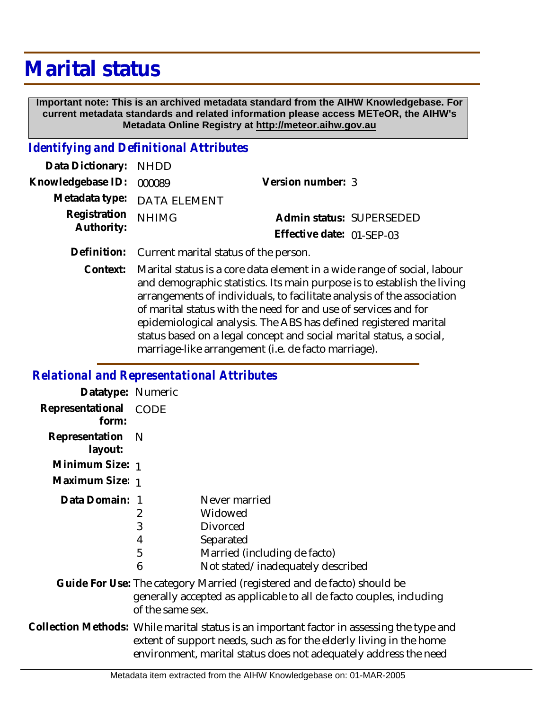# **Marital status**

 **Important note: This is an archived metadata standard from the AIHW Knowledgebase. For current metadata standards and related information please access METeOR, the AIHW's Metadata Online Registry at http://meteor.aihw.gov.au**

#### *Identifying and Definitional Attributes*

| Data Dictionary: NHDD                       |                             |                           |  |
|---------------------------------------------|-----------------------------|---------------------------|--|
| Knowledgebase ID: 000089                    |                             | Version number: 3         |  |
|                                             | Metadata type: DATA ELEMENT |                           |  |
| Registration <sub>NHIMG</sub><br>Authority: |                             | Admin status: SUPERSEDED  |  |
|                                             |                             | Effective date: 01-SEP-03 |  |

**Definition:** Current marital status of the person.

Marital status is a core data element in a wide range of social, labour and demographic statistics. Its main purpose is to establish the living arrangements of individuals, to facilitate analysis of the association of marital status with the need for and use of services and for epidemiological analysis. The ABS has defined registered marital status based on a legal concept and social marital status, a social, marriage-like arrangement (i.e. de facto marriage). **Context:**

#### *Relational and Representational Attributes*

| Datatype: Numeric         |                                                                                                                                                                                                                                      |                                                                                                                               |
|---------------------------|--------------------------------------------------------------------------------------------------------------------------------------------------------------------------------------------------------------------------------------|-------------------------------------------------------------------------------------------------------------------------------|
| Representational<br>form: | CODE                                                                                                                                                                                                                                 |                                                                                                                               |
| Representation<br>layout: | - N                                                                                                                                                                                                                                  |                                                                                                                               |
| Minimum Size: 1           |                                                                                                                                                                                                                                      |                                                                                                                               |
| Maximum Size: 1           |                                                                                                                                                                                                                                      |                                                                                                                               |
| Data Domain: 1            | 2<br>3<br>4<br>5<br>6                                                                                                                                                                                                                | Never married<br>Widowed<br><b>Divorced</b><br>Separated<br>Married (including de facto)<br>Not stated/inadequately described |
|                           | Guide For Use: The category Married (registered and de facto) should be<br>generally accepted as applicable to all de facto couples, including<br>of the same sex.                                                                   |                                                                                                                               |
|                           | Collection Methods: While marital status is an important factor in assessing the type and<br>extent of support needs, such as for the elderly living in the home<br>environment, marital status does not adequately address the need |                                                                                                                               |